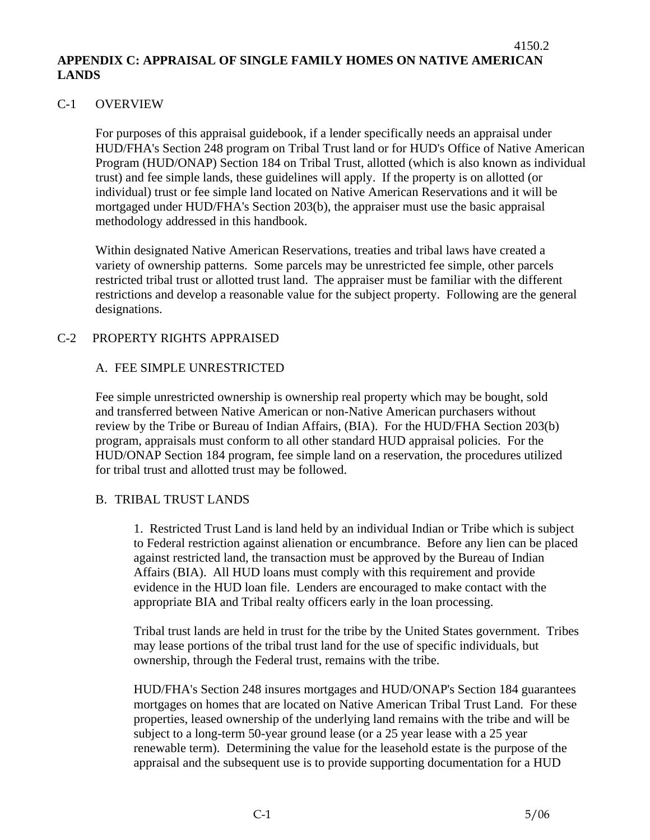### 4150.2 **APPENDIX C: APPRAISAL OF SINGLE FAMILY HOMES ON NATIVE AMERICAN LANDS**

## C-1OVERVIEW

For purposes of this appraisal guidebook, if a lender specifically needs an appraisal under HUD/FHA's Section 248 program on Tribal Trust land or for HUD's Office of Native American Program (HUD/ONAP) Section 184 on Tribal Trust, allotted (which is also known as individual trust) and fee simple lands, these guidelines will apply. If the property is on allotted (or individual) trust or fee simple land located on Native American Reservations and it will be mortgaged under HUD/FHA's Section 203(b), the appraiser must use the basic appraisal methodology addressed in this handbook.

Within designated Native American Reservations, treaties and tribal laws have created a variety of ownership patterns. Some parcels may be unrestricted fee simple, other parcels restricted tribal trust or allotted trust land. The appraiser must be familiar with the different restrictions and develop a reasonable value for the subject property. Following are the general designations.

## C-2 PROPERTY RIGHTS APPRAISED

### A. FEE SIMPLE UNRESTRICTED

Fee simple unrestricted ownership is ownership real property which may be bought, sold and transferred between Native American or non-Native American purchasers without review by the Tribe or Bureau of Indian Affairs, (BIA). For the HUD/FHA Section 203(b) program, appraisals must conform to all other standard HUD appraisal policies. For the HUD/ONAP Section 184 program, fee simple land on a reservation, the procedures utilized for tribal trust and allotted trust may be followed.

## B. TRIBAL TRUST LANDS

1. Restricted Trust Land is land held by an individual Indian or Tribe which is subject to Federal restriction against alienation or encumbrance. Before any lien can be placed against restricted land, the transaction must be approved by the Bureau of Indian Affairs (BIA). All HUD loans must comply with this requirement and provide evidence in the HUD loan file. Lenders are encouraged to make contact with the appropriate BIA and Tribal realty officers early in the loan processing.

Tribal trust lands are held in trust for the tribe by the United States government. Tribes may lease portions of the tribal trust land for the use of specific individuals, but ownership, through the Federal trust, remains with the tribe.

HUD/FHA's Section 248 insures mortgages and HUD/ONAP's Section 184 guarantees mortgages on homes that are located on Native American Tribal Trust Land. For these properties, leased ownership of the underlying land remains with the tribe and will be subject to a long-term 50-year ground lease (or a 25 year lease with a 25 year renewable term). Determining the value for the leasehold estate is the purpose of the appraisal and the subsequent use is to provide supporting documentation for a HUD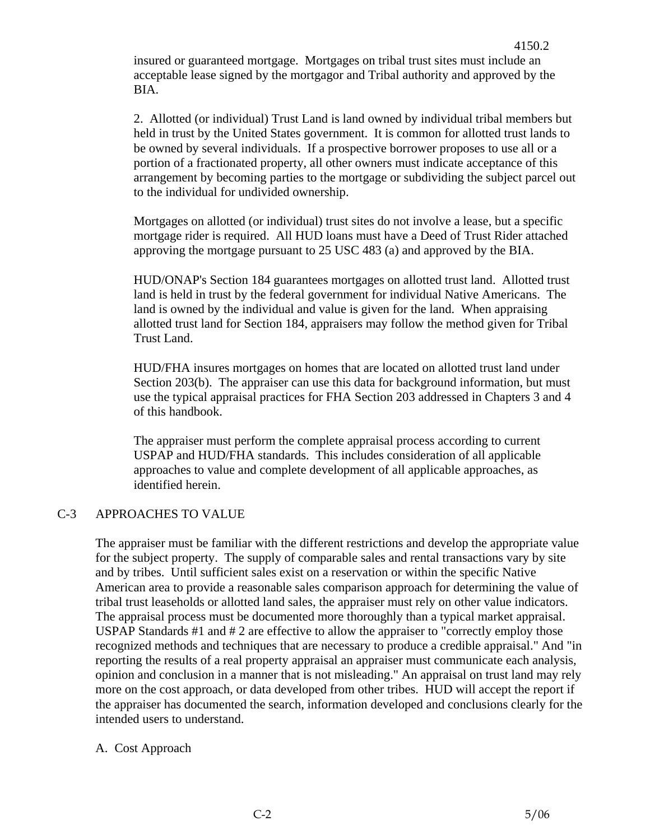insured or guaranteed mortgage. Mortgages on tribal trust sites must include an acceptable lease signed by the mortgagor and Tribal authority and approved by the BIA.

2. Allotted (or individual) Trust Land is land owned by individual tribal members but held in trust by the United States government. It is common for allotted trust lands to be owned by several individuals. If a prospective borrower proposes to use all or a portion of a fractionated property, all other owners must indicate acceptance of this arrangement by becoming parties to the mortgage or subdividing the subject parcel out to the individual for undivided ownership.

Mortgages on allotted (or individual) trust sites do not involve a lease, but a specific mortgage rider is required. All HUD loans must have a Deed of Trust Rider attached approving the mortgage pursuant to 25 USC 483 (a) and approved by the BIA.

HUD/ONAP's Section 184 guarantees mortgages on allotted trust land. Allotted trust land is held in trust by the federal government for individual Native Americans. The land is owned by the individual and value is given for the land. When appraising allotted trust land for Section 184, appraisers may follow the method given for Tribal Trust Land.

HUD/FHA insures mortgages on homes that are located on allotted trust land under Section 203(b). The appraiser can use this data for background information, but must use the typical appraisal practices for FHA Section 203 addressed in Chapters 3 and 4 of this handbook.

The appraiser must perform the complete appraisal process according to current USPAP and HUD/FHA standards. This includes consideration of all applicable approaches to value and complete development of all applicable approaches, as identified herein.

## C-3 APPROACHES TO VALUE

The appraiser must be familiar with the different restrictions and develop the appropriate value for the subject property. The supply of comparable sales and rental transactions vary by site and by tribes. Until sufficient sales exist on a reservation or within the specific Native American area to provide a reasonable sales comparison approach for determining the value of tribal trust leaseholds or allotted land sales, the appraiser must rely on other value indicators. The appraisal process must be documented more thoroughly than a typical market appraisal. USPAP Standards #1 and # 2 are effective to allow the appraiser to "correctly employ those recognized methods and techniques that are necessary to produce a credible appraisal." And "in reporting the results of a real property appraisal an appraiser must communicate each analysis, opinion and conclusion in a manner that is not misleading." An appraisal on trust land may rely more on the cost approach, or data developed from other tribes. HUD will accept the report if the appraiser has documented the search, information developed and conclusions clearly for the intended users to understand.

#### A. Cost Approach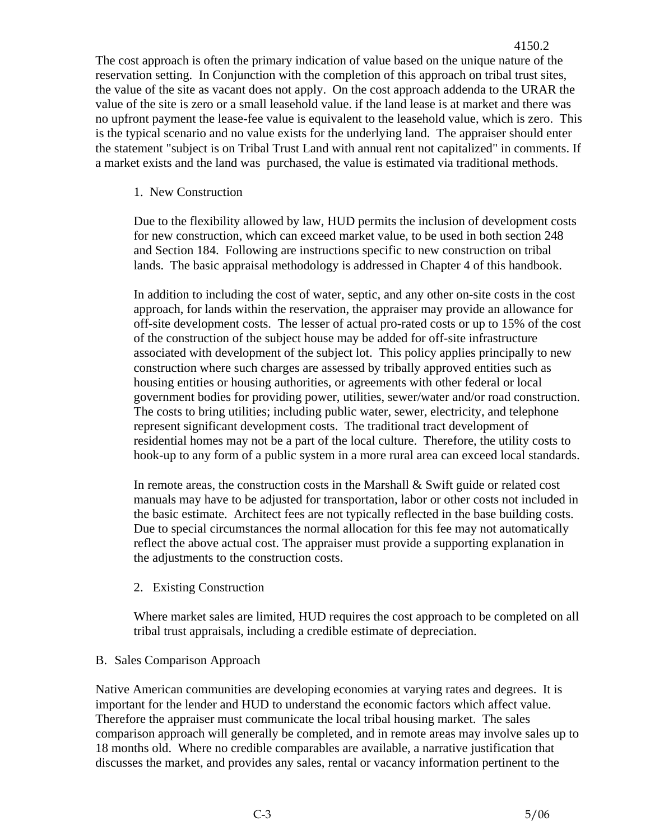The cost approach is often the primary indication of value based on the unique nature of the reservation setting. In Conjunction with the completion of this approach on tribal trust sites, the value of the site as vacant does not apply. On the cost approach addenda to the URAR the value of the site is zero or a small leasehold value. if the land lease is at market and there was no upfront payment the lease-fee value is equivalent to the leasehold value, which is zero. This is the typical scenario and no value exists for the underlying land. The appraiser should enter the statement "subject is on Tribal Trust Land with annual rent not capitalized" in comments. If a market exists and the land was purchased, the value is estimated via traditional methods.

### 1. New Construction

Due to the flexibility allowed by law, HUD permits the inclusion of development costs for new construction, which can exceed market value, to be used in both section 248 and Section 184. Following are instructions specific to new construction on tribal lands. The basic appraisal methodology is addressed in Chapter 4 of this handbook.

In addition to including the cost of water, septic, and any other on-site costs in the cost approach, for lands within the reservation, the appraiser may provide an allowance for off-site development costs. The lesser of actual pro-rated costs or up to 15% of the cost of the construction of the subject house may be added for off-site infrastructure associated with development of the subject lot. This policy applies principally to new construction where such charges are assessed by tribally approved entities such as housing entities or housing authorities, or agreements with other federal or local government bodies for providing power, utilities, sewer/water and/or road construction. The costs to bring utilities; including public water, sewer, electricity, and telephone represent significant development costs. The traditional tract development of residential homes may not be a part of the local culture. Therefore, the utility costs to hook-up to any form of a public system in a more rural area can exceed local standards.

In remote areas, the construction costs in the Marshall  $\&$  Swift guide or related cost manuals may have to be adjusted for transportation, labor or other costs not included in the basic estimate. Architect fees are not typically reflected in the base building costs. Due to special circumstances the normal allocation for this fee may not automatically reflect the above actual cost. The appraiser must provide a supporting explanation in the adjustments to the construction costs.

2. Existing Construction

Where market sales are limited, HUD requires the cost approach to be completed on all tribal trust appraisals, including a credible estimate of depreciation.

#### B. Sales Comparison Approach

Native American communities are developing economies at varying rates and degrees. It is important for the lender and HUD to understand the economic factors which affect value. Therefore the appraiser must communicate the local tribal housing market. The sales comparison approach will generally be completed, and in remote areas may involve sales up to 18 months old. Where no credible comparables are available, a narrative justification that discusses the market, and provides any sales, rental or vacancy information pertinent to the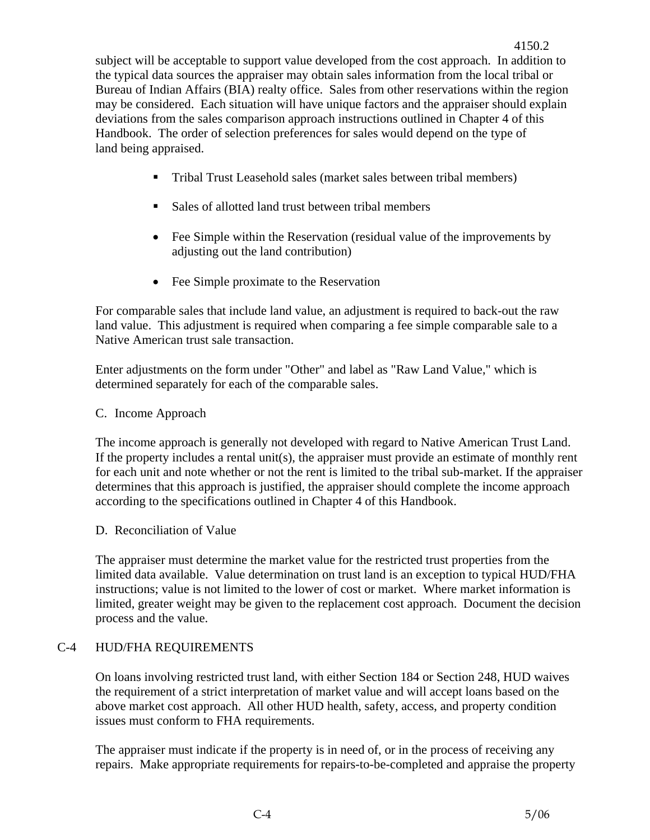subject will be acceptable to support value developed from the cost approach. In addition to the typical data sources the appraiser may obtain sales information from the local tribal or Bureau of Indian Affairs (BIA) realty office. Sales from other reservations within the region may be considered. Each situation will have unique factors and the appraiser should explain deviations from the sales comparison approach instructions outlined in Chapter 4 of this Handbook. The order of selection preferences for sales would depend on the type of land being appraised.

- Tribal Trust Leasehold sales (market sales between tribal members)
- Sales of allotted land trust between tribal members
- Fee Simple within the Reservation (residual value of the improvements by adjusting out the land contribution)
- Fee Simple proximate to the Reservation

For comparable sales that include land value, an adjustment is required to back-out the raw land value. This adjustment is required when comparing a fee simple comparable sale to a Native American trust sale transaction.

Enter adjustments on the form under "Other" and label as "Raw Land Value," which is determined separately for each of the comparable sales.

## C. Income Approach

The income approach is generally not developed with regard to Native American Trust Land. If the property includes a rental unit(s), the appraiser must provide an estimate of monthly rent for each unit and note whether or not the rent is limited to the tribal sub-market. If the appraiser determines that this approach is justified, the appraiser should complete the income approach according to the specifications outlined in Chapter 4 of this Handbook.

D. Reconciliation of Value

The appraiser must determine the market value for the restricted trust properties from the limited data available. Value determination on trust land is an exception to typical HUD/FHA instructions; value is not limited to the lower of cost or market. Where market information is limited, greater weight may be given to the replacement cost approach. Document the decision process and the value.

# C-4 HUD/FHA REQUIREMENTS

On loans involving restricted trust land, with either Section 184 or Section 248, HUD waives the requirement of a strict interpretation of market value and will accept loans based on the above market cost approach. All other HUD health, safety, access, and property condition issues must conform to FHA requirements.

The appraiser must indicate if the property is in need of, or in the process of receiving any repairs. Make appropriate requirements for repairs-to-be-completed and appraise the property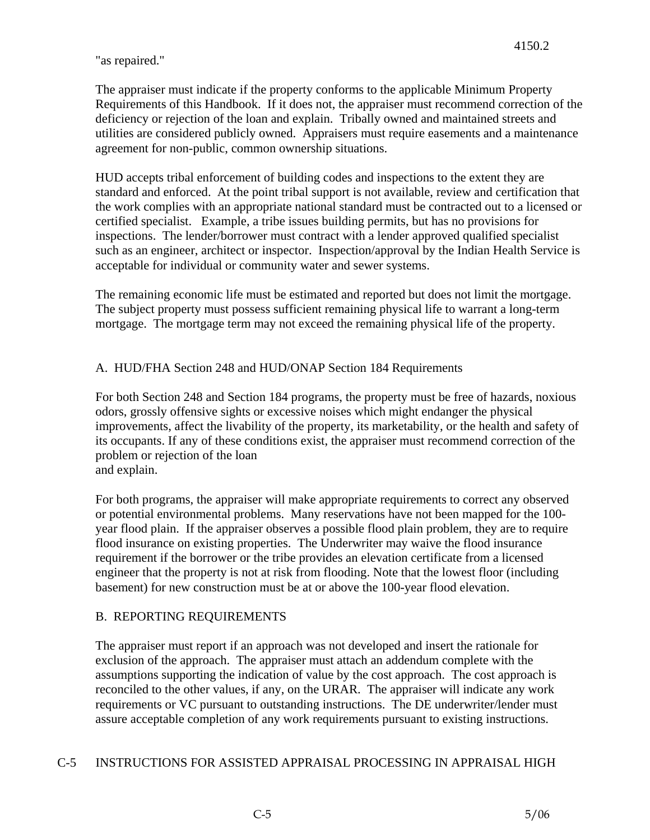"as repaired."

The appraiser must indicate if the property conforms to the applicable Minimum Property Requirements of this Handbook. If it does not, the appraiser must recommend correction of the deficiency or rejection of the loan and explain. Tribally owned and maintained streets and utilities are considered publicly owned. Appraisers must require easements and a maintenance agreement for non-public, common ownership situations.

HUD accepts tribal enforcement of building codes and inspections to the extent they are standard and enforced. At the point tribal support is not available, review and certification that the work complies with an appropriate national standard must be contracted out to a licensed or certified specialist. Example, a tribe issues building permits, but has no provisions for inspections. The lender/borrower must contract with a lender approved qualified specialist such as an engineer, architect or inspector. Inspection/approval by the Indian Health Service is acceptable for individual or community water and sewer systems.

The remaining economic life must be estimated and reported but does not limit the mortgage. The subject property must possess sufficient remaining physical life to warrant a long-term mortgage. The mortgage term may not exceed the remaining physical life of the property.

# A. HUD/FHA Section 248 and HUD/ONAP Section 184 Requirements

For both Section 248 and Section 184 programs, the property must be free of hazards, noxious odors, grossly offensive sights or excessive noises which might endanger the physical improvements, affect the livability of the property, its marketability, or the health and safety of its occupants. If any of these conditions exist, the appraiser must recommend correction of the problem or rejection of the loan and explain.

For both programs, the appraiser will make appropriate requirements to correct any observed or potential environmental problems. Many reservations have not been mapped for the 100 year flood plain. If the appraiser observes a possible flood plain problem, they are to require flood insurance on existing properties. The Underwriter may waive the flood insurance requirement if the borrower or the tribe provides an elevation certificate from a licensed engineer that the property is not at risk from flooding. Note that the lowest floor (including basement) for new construction must be at or above the 100-year flood elevation.

# B. REPORTING REQUIREMENTS

The appraiser must report if an approach was not developed and insert the rationale for exclusion of the approach. The appraiser must attach an addendum complete with the assumptions supporting the indication of value by the cost approach. The cost approach is reconciled to the other values, if any, on the URAR. The appraiser will indicate any work requirements or VC pursuant to outstanding instructions. The DE underwriter/lender must assure acceptable completion of any work requirements pursuant to existing instructions.

# C-5 INSTRUCTIONS FOR ASSISTED APPRAISAL PROCESSING IN APPRAISAL HIGH